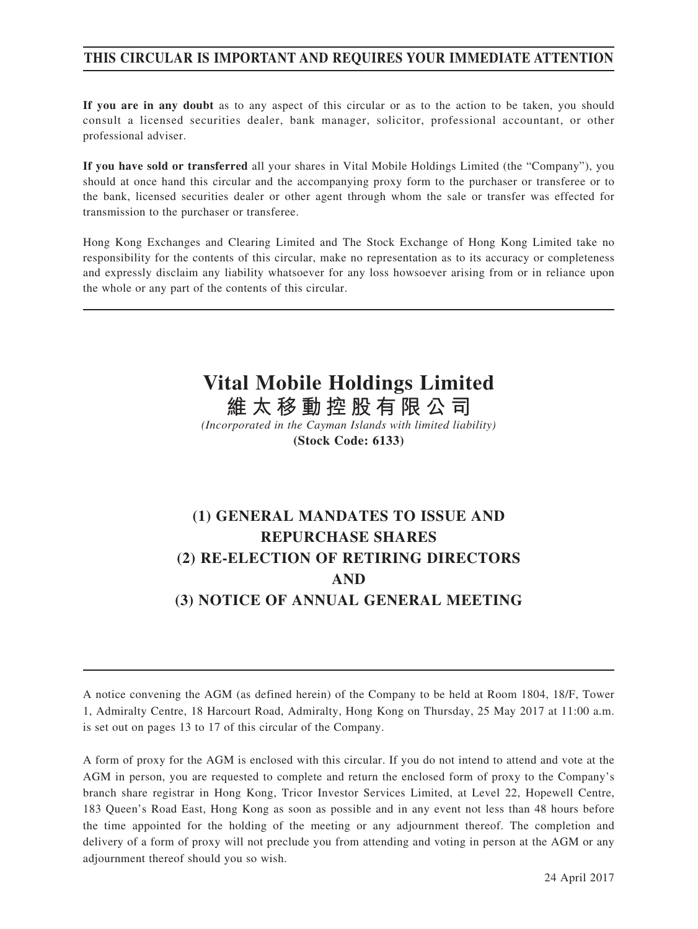## **THIS CIRCULAR IS IMPORTANT AND REQUIRES YOUR IMMEDIATE ATTENTION**

**If you are in any doubt** as to any aspect of this circular or as to the action to be taken, you should consult a licensed securities dealer, bank manager, solicitor, professional accountant, or other professional adviser.

**If you have sold or transferred** all your shares in Vital Mobile Holdings Limited (the "Company"), you should at once hand this circular and the accompanying proxy form to the purchaser or transferee or to the bank, licensed securities dealer or other agent through whom the sale or transfer was effected for transmission to the purchaser or transferee.

Hong Kong Exchanges and Clearing Limited and The Stock Exchange of Hong Kong Limited take no responsibility for the contents of this circular, make no representation as to its accuracy or completeness and expressly disclaim any liability whatsoever for any loss howsoever arising from or in reliance upon the whole or any part of the contents of this circular.

# **Vital Mobile Holdings Limited 維太移動控股有限公司**

*(Incorporated in the Cayman Islands with limited liability)* **(Stock Code: 6133)**

# **(1) GENERAL MANDATES TO ISSUE AND REPURCHASE SHARES (2) RE-ELECTION OF RETIRING DIRECTORS AND (3) NOTICE OF ANNUAL GENERAL MEETING**

A notice convening the AGM (as defined herein) of the Company to be held at Room 1804, 18/F, Tower 1, Admiralty Centre, 18 Harcourt Road, Admiralty, Hong Kong on Thursday, 25 May 2017 at 11:00 a.m. is set out on pages 13 to 17 of this circular of the Company.

A form of proxy for the AGM is enclosed with this circular. If you do not intend to attend and vote at the AGM in person, you are requested to complete and return the enclosed form of proxy to the Company's branch share registrar in Hong Kong, Tricor Investor Services Limited, at Level 22, Hopewell Centre, 183 Queen's Road East, Hong Kong as soon as possible and in any event not less than 48 hours before the time appointed for the holding of the meeting or any adjournment thereof. The completion and delivery of a form of proxy will not preclude you from attending and voting in person at the AGM or any adjournment thereof should you so wish.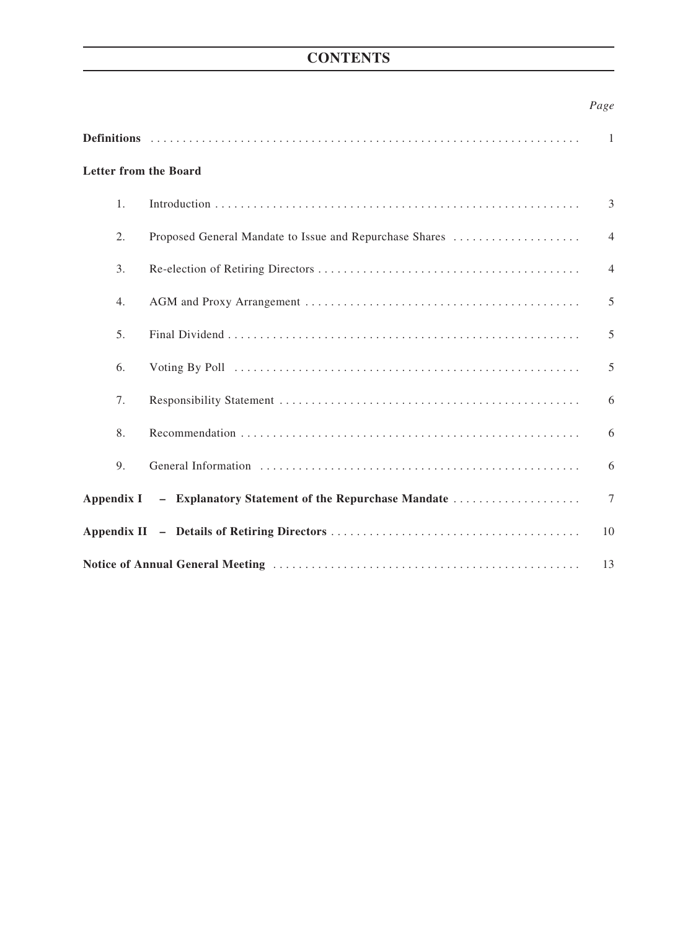## **CONTENTS**

## *Page*

|                              |                                                              | -1             |  |
|------------------------------|--------------------------------------------------------------|----------------|--|
| <b>Letter from the Board</b> |                                                              |                |  |
| 1.                           |                                                              | 3              |  |
| 2.                           | Proposed General Mandate to Issue and Repurchase Shares      | $\overline{4}$ |  |
| 3.                           |                                                              | $\overline{4}$ |  |
| 4.                           |                                                              | 5              |  |
| 5.                           |                                                              | 5              |  |
| 6.                           |                                                              | 5              |  |
| 7.                           |                                                              | 6              |  |
| 8.                           |                                                              | 6              |  |
| 9.                           |                                                              | 6              |  |
|                              | Appendix I – Explanatory Statement of the Repurchase Mandate | 7              |  |
|                              |                                                              | 10             |  |
| 13                           |                                                              |                |  |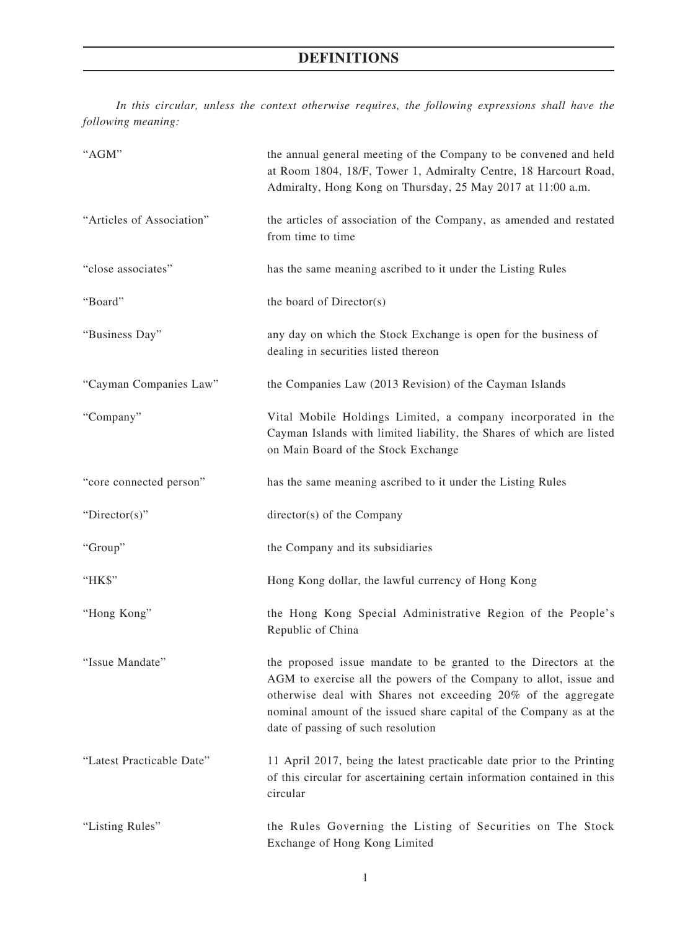*In this circular, unless the context otherwise requires, the following expressions shall have the following meaning:*

| "AGM"                     | the annual general meeting of the Company to be convened and held<br>at Room 1804, 18/F, Tower 1, Admiralty Centre, 18 Harcourt Road,<br>Admiralty, Hong Kong on Thursday, 25 May 2017 at 11:00 a.m.                                                                                                                |
|---------------------------|---------------------------------------------------------------------------------------------------------------------------------------------------------------------------------------------------------------------------------------------------------------------------------------------------------------------|
| "Articles of Association" | the articles of association of the Company, as amended and restated<br>from time to time                                                                                                                                                                                                                            |
| "close associates"        | has the same meaning ascribed to it under the Listing Rules                                                                                                                                                                                                                                                         |
| "Board"                   | the board of Director(s)                                                                                                                                                                                                                                                                                            |
| "Business Day"            | any day on which the Stock Exchange is open for the business of<br>dealing in securities listed thereon                                                                                                                                                                                                             |
| "Cayman Companies Law"    | the Companies Law (2013 Revision) of the Cayman Islands                                                                                                                                                                                                                                                             |
| "Company"                 | Vital Mobile Holdings Limited, a company incorporated in the<br>Cayman Islands with limited liability, the Shares of which are listed<br>on Main Board of the Stock Exchange                                                                                                                                        |
| "core connected person"   | has the same meaning ascribed to it under the Listing Rules                                                                                                                                                                                                                                                         |
| "Director(s)"             | director(s) of the Company                                                                                                                                                                                                                                                                                          |
| "Group"                   | the Company and its subsidiaries                                                                                                                                                                                                                                                                                    |
| "HK\$"                    | Hong Kong dollar, the lawful currency of Hong Kong                                                                                                                                                                                                                                                                  |
| "Hong Kong"               | the Hong Kong Special Administrative Region of the People's<br>Republic of China                                                                                                                                                                                                                                    |
| "Issue Mandate"           | the proposed issue mandate to be granted to the Directors at the<br>AGM to exercise all the powers of the Company to allot, issue and<br>otherwise deal with Shares not exceeding 20% of the aggregate<br>nominal amount of the issued share capital of the Company as at the<br>date of passing of such resolution |
| "Latest Practicable Date" | 11 April 2017, being the latest practicable date prior to the Printing<br>of this circular for ascertaining certain information contained in this<br>circular                                                                                                                                                       |
| "Listing Rules"           | the Rules Governing the Listing of Securities on The Stock<br>Exchange of Hong Kong Limited                                                                                                                                                                                                                         |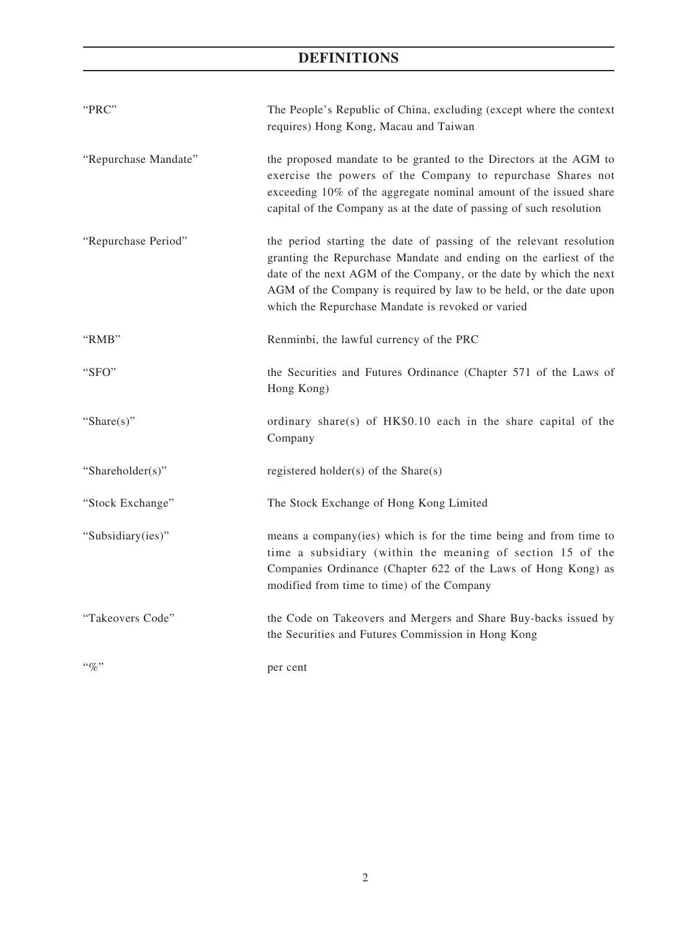# **DEFINITIONS**

| "PRC"                | The People's Republic of China, excluding (except where the context<br>requires) Hong Kong, Macau and Taiwan                                                                                                                                                                                                                             |
|----------------------|------------------------------------------------------------------------------------------------------------------------------------------------------------------------------------------------------------------------------------------------------------------------------------------------------------------------------------------|
| "Repurchase Mandate" | the proposed mandate to be granted to the Directors at the AGM to<br>exercise the powers of the Company to repurchase Shares not<br>exceeding 10% of the aggregate nominal amount of the issued share<br>capital of the Company as at the date of passing of such resolution                                                             |
| "Repurchase Period"  | the period starting the date of passing of the relevant resolution<br>granting the Repurchase Mandate and ending on the earliest of the<br>date of the next AGM of the Company, or the date by which the next<br>AGM of the Company is required by law to be held, or the date upon<br>which the Repurchase Mandate is revoked or varied |
| "RMB"                | Renminbi, the lawful currency of the PRC                                                                                                                                                                                                                                                                                                 |
| "SFO"                | the Securities and Futures Ordinance (Chapter 571 of the Laws of<br>Hong Kong)                                                                                                                                                                                                                                                           |
| "Share $(s)$ "       | ordinary share(s) of HK\$0.10 each in the share capital of the<br>Company                                                                                                                                                                                                                                                                |
| "Shareholder(s)"     | registered holder(s) of the $Share(s)$                                                                                                                                                                                                                                                                                                   |
| "Stock Exchange"     | The Stock Exchange of Hong Kong Limited                                                                                                                                                                                                                                                                                                  |
| "Subsidiary(ies)"    | means a company(ies) which is for the time being and from time to<br>time a subsidiary (within the meaning of section 15 of the<br>Companies Ordinance (Chapter 622 of the Laws of Hong Kong) as<br>modified from time to time) of the Company                                                                                           |
| "Takeovers Code"     | the Code on Takeovers and Mergers and Share Buy-backs issued by<br>the Securities and Futures Commission in Hong Kong                                                                                                                                                                                                                    |
| $\lq\lq q_0$ "       | per cent                                                                                                                                                                                                                                                                                                                                 |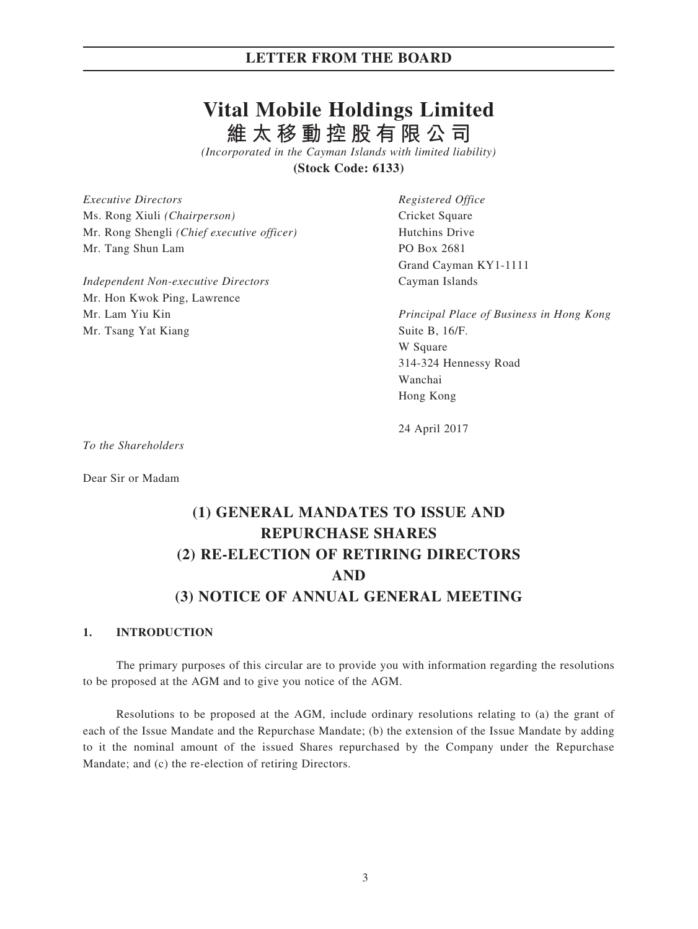## **LETTER FROM THE BOARD**

# **Vital Mobile Holdings Limited 維太移動控股有限公司**

*(Incorporated in the Cayman Islands with limited liability)* **(Stock Code: 6133)**

*Executive Directors Registered Office* Ms. Rong Xiuli *(Chairperson)* Cricket Square Mr. Rong Shengli *(Chief executive officer)* Hutchins Drive Mr. Tang Shun Lam PO Box 2681

*Independent Non-executive Directors* Cayman Islands Mr. Hon Kwok Ping, Lawrence Mr. Tsang Yat Kiang Suite B, 16/F.

Grand Cayman KY1-1111

Mr. Lam Yiu Kin *Principal Place of Business in Hong Kong* W Square 314-324 Hennessy Road Wanchai Hong Kong

24 April 2017

*To the Shareholders*

Dear Sir or Madam

# **(1) GENERAL MANDATES TO ISSUE AND REPURCHASE SHARES (2) RE-ELECTION OF RETIRING DIRECTORS AND (3) NOTICE OF ANNUAL GENERAL MEETING**

#### **1. INTRODUCTION**

The primary purposes of this circular are to provide you with information regarding the resolutions to be proposed at the AGM and to give you notice of the AGM.

Resolutions to be proposed at the AGM, include ordinary resolutions relating to (a) the grant of each of the Issue Mandate and the Repurchase Mandate; (b) the extension of the Issue Mandate by adding to it the nominal amount of the issued Shares repurchased by the Company under the Repurchase Mandate; and (c) the re-election of retiring Directors.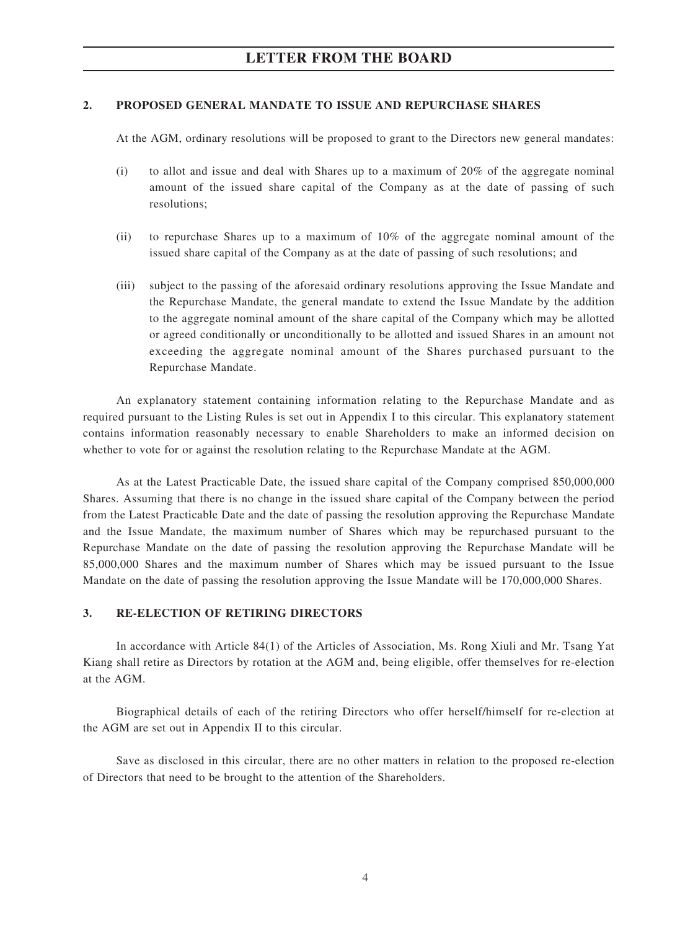## **LETTER FROM THE BOARD**

## **2. PROPOSED GENERAL MANDATE TO ISSUE AND REPURCHASE SHARES**

At the AGM, ordinary resolutions will be proposed to grant to the Directors new general mandates:

- (i) to allot and issue and deal with Shares up to a maximum of 20% of the aggregate nominal amount of the issued share capital of the Company as at the date of passing of such resolutions;
- (ii) to repurchase Shares up to a maximum of 10% of the aggregate nominal amount of the issued share capital of the Company as at the date of passing of such resolutions; and
- (iii) subject to the passing of the aforesaid ordinary resolutions approving the Issue Mandate and the Repurchase Mandate, the general mandate to extend the Issue Mandate by the addition to the aggregate nominal amount of the share capital of the Company which may be allotted or agreed conditionally or unconditionally to be allotted and issued Shares in an amount not exceeding the aggregate nominal amount of the Shares purchased pursuant to the Repurchase Mandate.

An explanatory statement containing information relating to the Repurchase Mandate and as required pursuant to the Listing Rules is set out in Appendix I to this circular. This explanatory statement contains information reasonably necessary to enable Shareholders to make an informed decision on whether to vote for or against the resolution relating to the Repurchase Mandate at the AGM.

As at the Latest Practicable Date, the issued share capital of the Company comprised 850,000,000 Shares. Assuming that there is no change in the issued share capital of the Company between the period from the Latest Practicable Date and the date of passing the resolution approving the Repurchase Mandate and the Issue Mandate, the maximum number of Shares which may be repurchased pursuant to the Repurchase Mandate on the date of passing the resolution approving the Repurchase Mandate will be 85,000,000 Shares and the maximum number of Shares which may be issued pursuant to the Issue Mandate on the date of passing the resolution approving the Issue Mandate will be 170,000,000 Shares.

## **3. RE-ELECTION OF RETIRING DIRECTORS**

In accordance with Article 84(1) of the Articles of Association, Ms. Rong Xiuli and Mr. Tsang Yat Kiang shall retire as Directors by rotation at the AGM and, being eligible, offer themselves for re-election at the AGM.

Biographical details of each of the retiring Directors who offer herself/himself for re-election at the AGM are set out in Appendix II to this circular.

Save as disclosed in this circular, there are no other matters in relation to the proposed re-election of Directors that need to be brought to the attention of the Shareholders.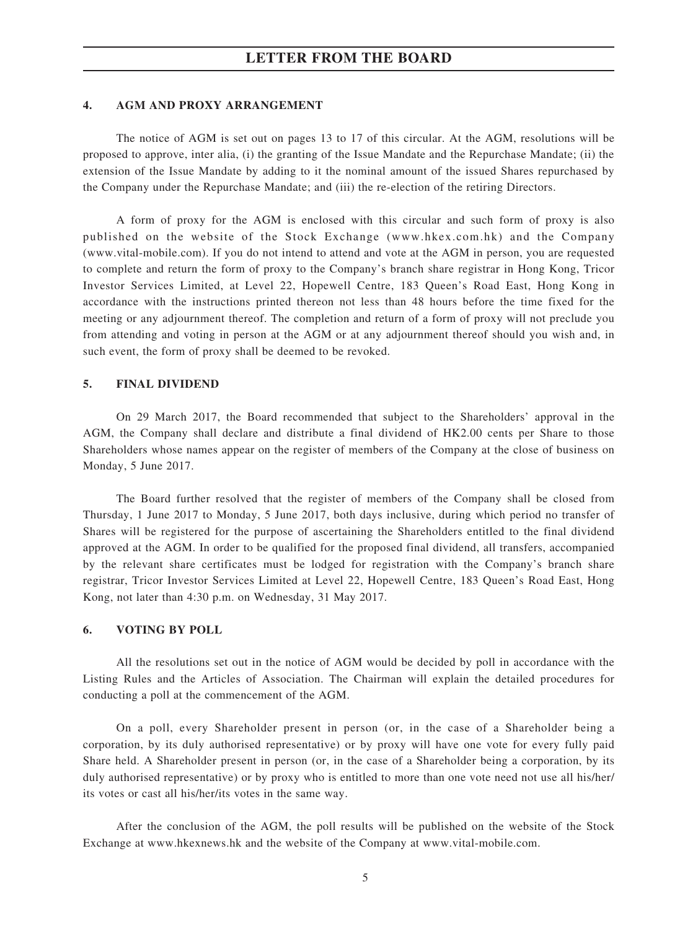## **LETTER FROM THE BOARD**

## **4. AGM AND PROXY ARRANGEMENT**

The notice of AGM is set out on pages 13 to 17 of this circular. At the AGM, resolutions will be proposed to approve, inter alia, (i) the granting of the Issue Mandate and the Repurchase Mandate; (ii) the extension of the Issue Mandate by adding to it the nominal amount of the issued Shares repurchased by the Company under the Repurchase Mandate; and (iii) the re-election of the retiring Directors.

A form of proxy for the AGM is enclosed with this circular and such form of proxy is also published on the website of the Stock Exchange (www.hkex.com.hk) and the Company (www.vital-mobile.com). If you do not intend to attend and vote at the AGM in person, you are requested to complete and return the form of proxy to the Company's branch share registrar in Hong Kong, Tricor Investor Services Limited, at Level 22, Hopewell Centre, 183 Queen's Road East, Hong Kong in accordance with the instructions printed thereon not less than 48 hours before the time fixed for the meeting or any adjournment thereof. The completion and return of a form of proxy will not preclude you from attending and voting in person at the AGM or at any adjournment thereof should you wish and, in such event, the form of proxy shall be deemed to be revoked.

### **5. FINAL DIVIDEND**

On 29 March 2017, the Board recommended that subject to the Shareholders' approval in the AGM, the Company shall declare and distribute a final dividend of HK2.00 cents per Share to those Shareholders whose names appear on the register of members of the Company at the close of business on Monday, 5 June 2017.

The Board further resolved that the register of members of the Company shall be closed from Thursday, 1 June 2017 to Monday, 5 June 2017, both days inclusive, during which period no transfer of Shares will be registered for the purpose of ascertaining the Shareholders entitled to the final dividend approved at the AGM. In order to be qualified for the proposed final dividend, all transfers, accompanied by the relevant share certificates must be lodged for registration with the Company's branch share registrar, Tricor Investor Services Limited at Level 22, Hopewell Centre, 183 Queen's Road East, Hong Kong, not later than 4:30 p.m. on Wednesday, 31 May 2017.

#### **6. VOTING BY POLL**

All the resolutions set out in the notice of AGM would be decided by poll in accordance with the Listing Rules and the Articles of Association. The Chairman will explain the detailed procedures for conducting a poll at the commencement of the AGM.

On a poll, every Shareholder present in person (or, in the case of a Shareholder being a corporation, by its duly authorised representative) or by proxy will have one vote for every fully paid Share held. A Shareholder present in person (or, in the case of a Shareholder being a corporation, by its duly authorised representative) or by proxy who is entitled to more than one vote need not use all his/her/ its votes or cast all his/her/its votes in the same way.

After the conclusion of the AGM, the poll results will be published on the website of the Stock Exchange at www.hkexnews.hk and the website of the Company at www.vital-mobile.com.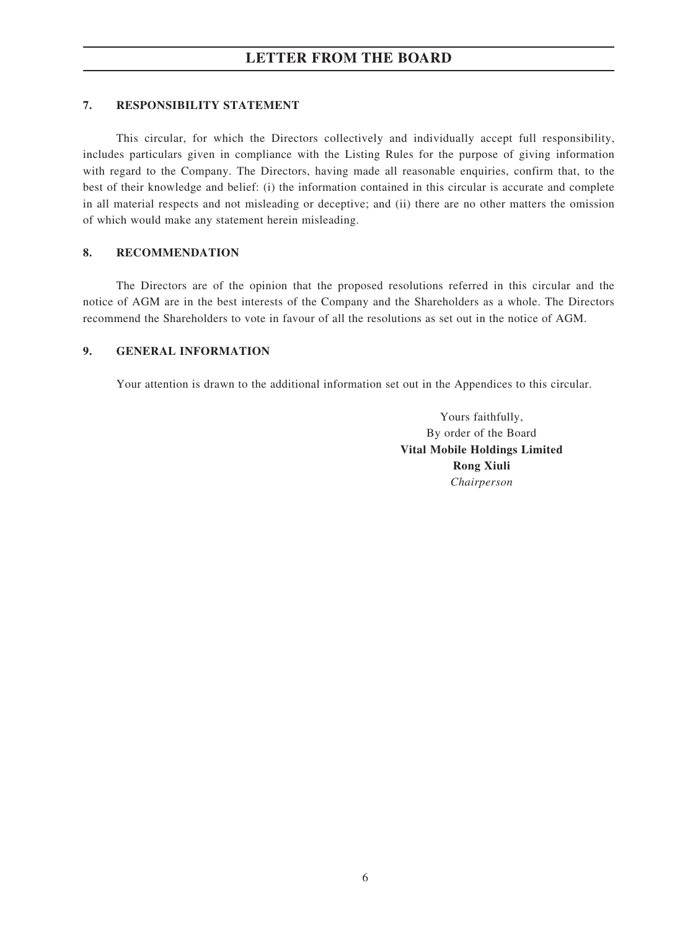## **7. RESPONSIBILITY STATEMENT**

This circular, for which the Directors collectively and individually accept full responsibility, includes particulars given in compliance with the Listing Rules for the purpose of giving information with regard to the Company. The Directors, having made all reasonable enquiries, confirm that, to the best of their knowledge and belief: (i) the information contained in this circular is accurate and complete in all material respects and not misleading or deceptive; and (ii) there are no other matters the omission of which would make any statement herein misleading.

## **8. RECOMMENDATION**

The Directors are of the opinion that the proposed resolutions referred in this circular and the notice of AGM are in the best interests of the Company and the Shareholders as a whole. The Directors recommend the Shareholders to vote in favour of all the resolutions as set out in the notice of AGM.

## **9. GENERAL INFORMATION**

Your attention is drawn to the additional information set out in the Appendices to this circular.

Yours faithfully, By order of the Board **Vital Mobile Holdings Limited Rong Xiuli** *Chairperson*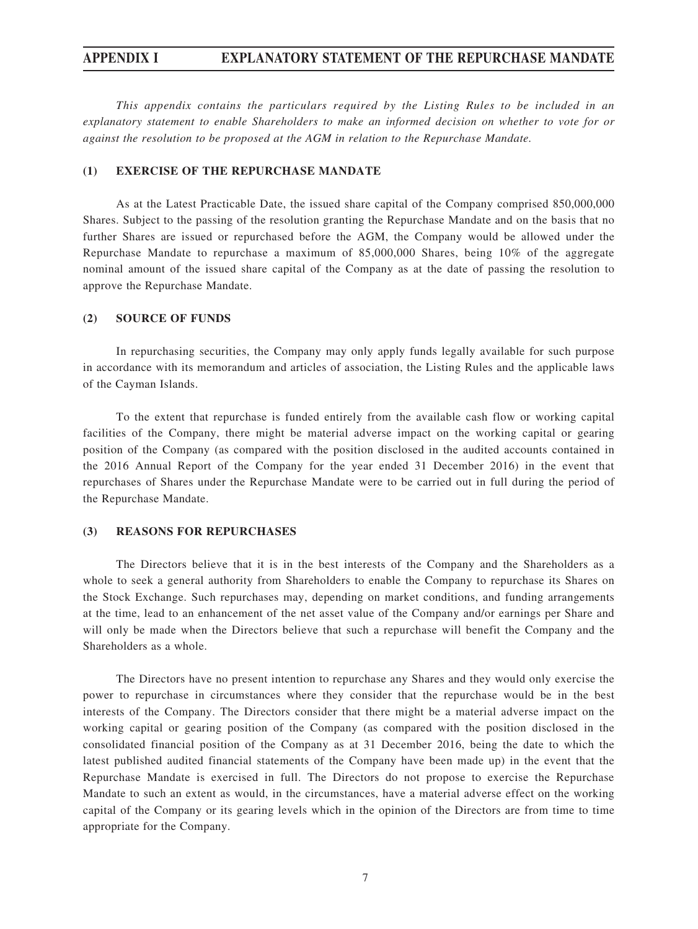## **APPENDIX I EXPLANATORY STATEMENT OF THE REPURCHASE MANDATE**

*This appendix contains the particulars required by the Listing Rules to be included in an explanatory statement to enable Shareholders to make an informed decision on whether to vote for or against the resolution to be proposed at the AGM in relation to the Repurchase Mandate.*

#### **(1) EXERCISE OF THE REPURCHASE MANDATE**

As at the Latest Practicable Date, the issued share capital of the Company comprised 850,000,000 Shares. Subject to the passing of the resolution granting the Repurchase Mandate and on the basis that no further Shares are issued or repurchased before the AGM, the Company would be allowed under the Repurchase Mandate to repurchase a maximum of 85,000,000 Shares, being 10% of the aggregate nominal amount of the issued share capital of the Company as at the date of passing the resolution to approve the Repurchase Mandate.

#### **(2) SOURCE OF FUNDS**

In repurchasing securities, the Company may only apply funds legally available for such purpose in accordance with its memorandum and articles of association, the Listing Rules and the applicable laws of the Cayman Islands.

To the extent that repurchase is funded entirely from the available cash flow or working capital facilities of the Company, there might be material adverse impact on the working capital or gearing position of the Company (as compared with the position disclosed in the audited accounts contained in the 2016 Annual Report of the Company for the year ended 31 December 2016) in the event that repurchases of Shares under the Repurchase Mandate were to be carried out in full during the period of the Repurchase Mandate.

#### **(3) REASONS FOR REPURCHASES**

The Directors believe that it is in the best interests of the Company and the Shareholders as a whole to seek a general authority from Shareholders to enable the Company to repurchase its Shares on the Stock Exchange. Such repurchases may, depending on market conditions, and funding arrangements at the time, lead to an enhancement of the net asset value of the Company and/or earnings per Share and will only be made when the Directors believe that such a repurchase will benefit the Company and the Shareholders as a whole.

The Directors have no present intention to repurchase any Shares and they would only exercise the power to repurchase in circumstances where they consider that the repurchase would be in the best interests of the Company. The Directors consider that there might be a material adverse impact on the working capital or gearing position of the Company (as compared with the position disclosed in the consolidated financial position of the Company as at 31 December 2016, being the date to which the latest published audited financial statements of the Company have been made up) in the event that the Repurchase Mandate is exercised in full. The Directors do not propose to exercise the Repurchase Mandate to such an extent as would, in the circumstances, have a material adverse effect on the working capital of the Company or its gearing levels which in the opinion of the Directors are from time to time appropriate for the Company.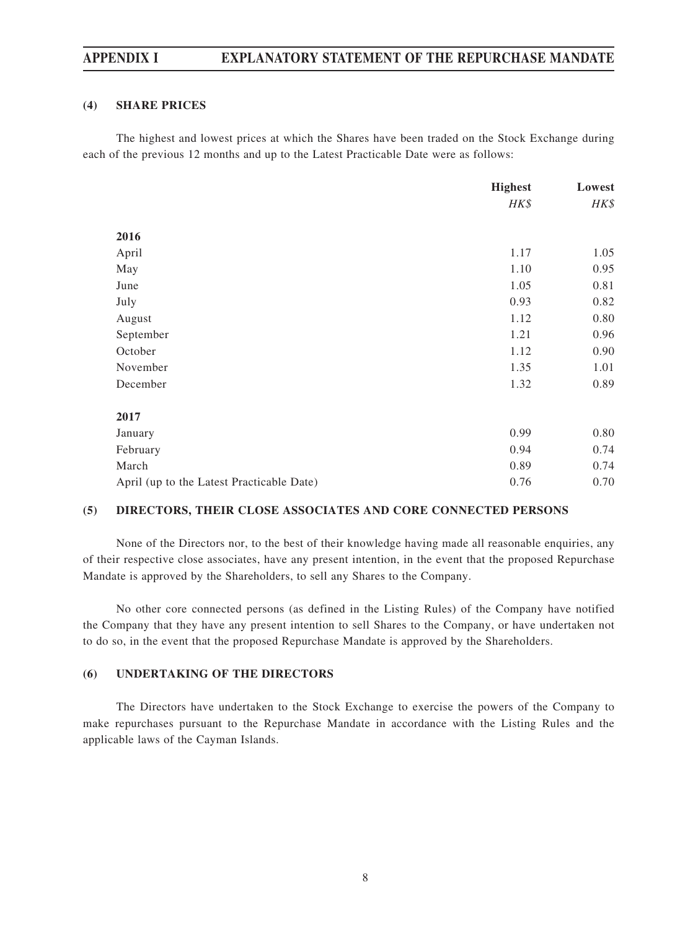## **APPENDIX I EXPLANATORY STATEMENT OF THE REPURCHASE MANDATE**

## **(4) SHARE PRICES**

The highest and lowest prices at which the Shares have been traded on the Stock Exchange during each of the previous 12 months and up to the Latest Practicable Date were as follows:

|                                           | <b>Highest</b> | Lowest |
|-------------------------------------------|----------------|--------|
|                                           | HK\$           | HK\$   |
| 2016                                      |                |        |
| April                                     | 1.17           | 1.05   |
| May                                       | 1.10           | 0.95   |
| June                                      | 1.05           | 0.81   |
| July                                      | 0.93           | 0.82   |
| August                                    | 1.12           | 0.80   |
| September                                 | 1.21           | 0.96   |
| October                                   | 1.12           | 0.90   |
| November                                  | 1.35           | 1.01   |
| December                                  | 1.32           | 0.89   |
| 2017                                      |                |        |
| January                                   | 0.99           | 0.80   |
| February                                  | 0.94           | 0.74   |
| March                                     | 0.89           | 0.74   |
| April (up to the Latest Practicable Date) | 0.76           | 0.70   |

## **(5) DIRECTORS, THEIR CLOSE ASSOCIATES AND CORE CONNECTED PERSONS**

None of the Directors nor, to the best of their knowledge having made all reasonable enquiries, any of their respective close associates, have any present intention, in the event that the proposed Repurchase Mandate is approved by the Shareholders, to sell any Shares to the Company.

No other core connected persons (as defined in the Listing Rules) of the Company have notified the Company that they have any present intention to sell Shares to the Company, or have undertaken not to do so, in the event that the proposed Repurchase Mandate is approved by the Shareholders.

## **(6) UNDERTAKING OF THE DIRECTORS**

The Directors have undertaken to the Stock Exchange to exercise the powers of the Company to make repurchases pursuant to the Repurchase Mandate in accordance with the Listing Rules and the applicable laws of the Cayman Islands.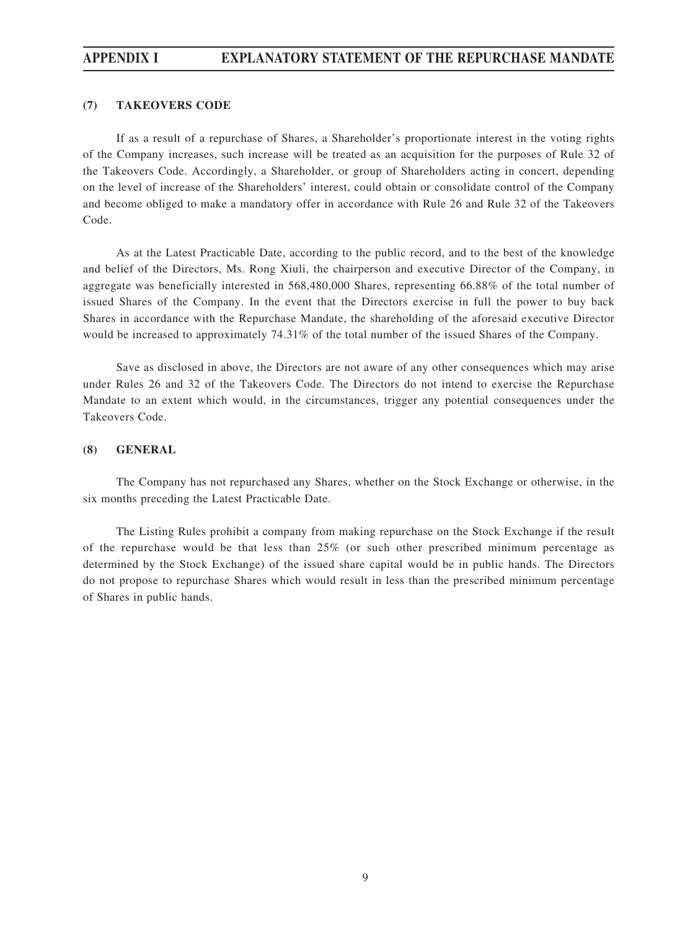## **APPENDIX I EXPLANATORY STATEMENT OF THE REPURCHASE MANDATE**

## **(7) TAKEOVERS CODE**

If as a result of a repurchase of Shares, a Shareholder's proportionate interest in the voting rights of the Company increases, such increase will be treated as an acquisition for the purposes of Rule 32 of the Takeovers Code. Accordingly, a Shareholder, or group of Shareholders acting in concert, depending on the level of increase of the Shareholders' interest, could obtain or consolidate control of the Company and become obliged to make a mandatory offer in accordance with Rule 26 and Rule 32 of the Takeovers Code.

As at the Latest Practicable Date, according to the public record, and to the best of the knowledge and belief of the Directors, Ms. Rong Xiuli, the chairperson and executive Director of the Company, in aggregate was beneficially interested in 568,480,000 Shares, representing 66.88% of the total number of issued Shares of the Company. In the event that the Directors exercise in full the power to buy back Shares in accordance with the Repurchase Mandate, the shareholding of the aforesaid executive Director would be increased to approximately 74.31% of the total number of the issued Shares of the Company.

Save as disclosed in above, the Directors are not aware of any other consequences which may arise under Rules 26 and 32 of the Takeovers Code. The Directors do not intend to exercise the Repurchase Mandate to an extent which would, in the circumstances, trigger any potential consequences under the Takeovers Code.

## **(8) GENERAL**

The Company has not repurchased any Shares, whether on the Stock Exchange or otherwise, in the six months preceding the Latest Practicable Date.

The Listing Rules prohibit a company from making repurchase on the Stock Exchange if the result of the repurchase would be that less than 25% (or such other prescribed minimum percentage as determined by the Stock Exchange) of the issued share capital would be in public hands. The Directors do not propose to repurchase Shares which would result in less than the prescribed minimum percentage of Shares in public hands.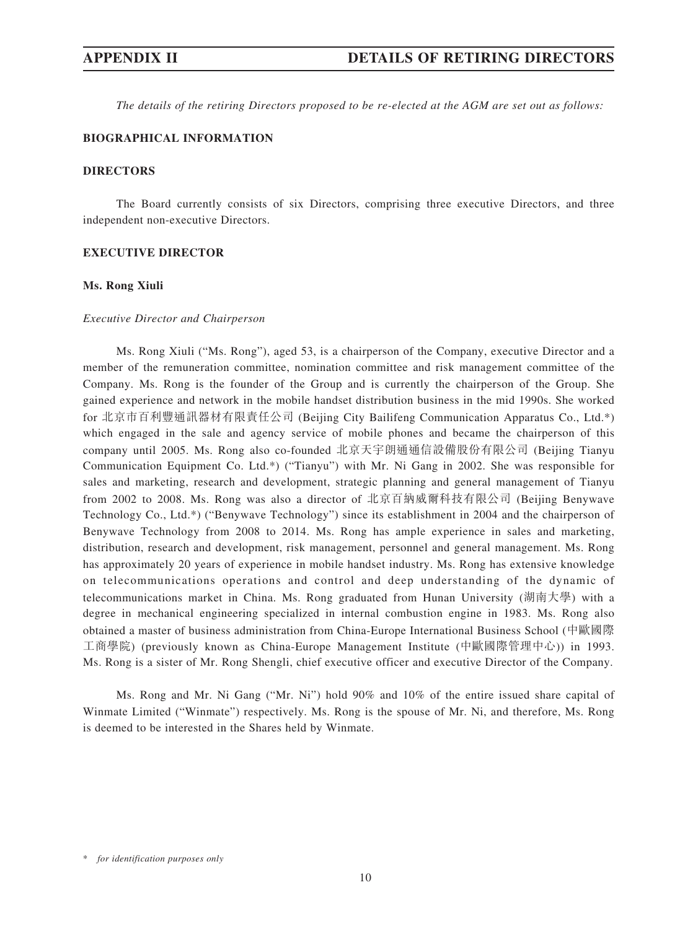*The details of the retiring Directors proposed to be re-elected at the AGM are set out as follows:*

## **BIOGRAPHICAL INFORMATION**

#### **DIRECTORS**

The Board currently consists of six Directors, comprising three executive Directors, and three independent non-executive Directors.

#### **Executive Director**

#### **Ms. Rong Xiuli**

#### *Executive Director and Chairperson*

Ms. Rong Xiuli ("Ms. Rong"), aged 53, is a chairperson of the Company, executive Director and a member of the remuneration committee, nomination committee and risk management committee of the Company. Ms. Rong is the founder of the Group and is currently the chairperson of the Group. She gained experience and network in the mobile handset distribution business in the mid 1990s. She worked for 北京市百利豐通訊器材有限責任公司 (Beijing City Bailifeng Communication Apparatus Co., Ltd.\*) which engaged in the sale and agency service of mobile phones and became the chairperson of this company until 2005. Ms. Rong also co-founded 北京天宇朗通通信設備股份有限公司 (Beijing Tianyu Communication Equipment Co. Ltd.\*) ("Tianyu") with Mr. Ni Gang in 2002. She was responsible for sales and marketing, research and development, strategic planning and general management of Tianyu from 2002 to 2008. Ms. Rong was also a director of 北京百納威爾科技有限公司 (Beijing Benywave Technology Co., Ltd.\*) ("Benywave Technology") since its establishment in 2004 and the chairperson of Benywave Technology from 2008 to 2014. Ms. Rong has ample experience in sales and marketing, distribution, research and development, risk management, personnel and general management. Ms. Rong has approximately 20 years of experience in mobile handset industry. Ms. Rong has extensive knowledge on telecommunications operations and control and deep understanding of the dynamic of telecommunications market in China. Ms. Rong graduated from Hunan University (湖南大學) with a degree in mechanical engineering specialized in internal combustion engine in 1983. Ms. Rong also obtained a master of business administration from China-Europe International Business School (中歐國際 工商學院) (previously known as China-Europe Management Institute (中歐國際管理中心)) in 1993. Ms. Rong is a sister of Mr. Rong Shengli, chief executive officer and executive Director of the Company.

Ms. Rong and Mr. Ni Gang ("Mr. Ni") hold 90% and 10% of the entire issued share capital of Winmate Limited ("Winmate") respectively. Ms. Rong is the spouse of Mr. Ni, and therefore, Ms. Rong is deemed to be interested in the Shares held by Winmate.

<sup>\*</sup> *for identification purposes only*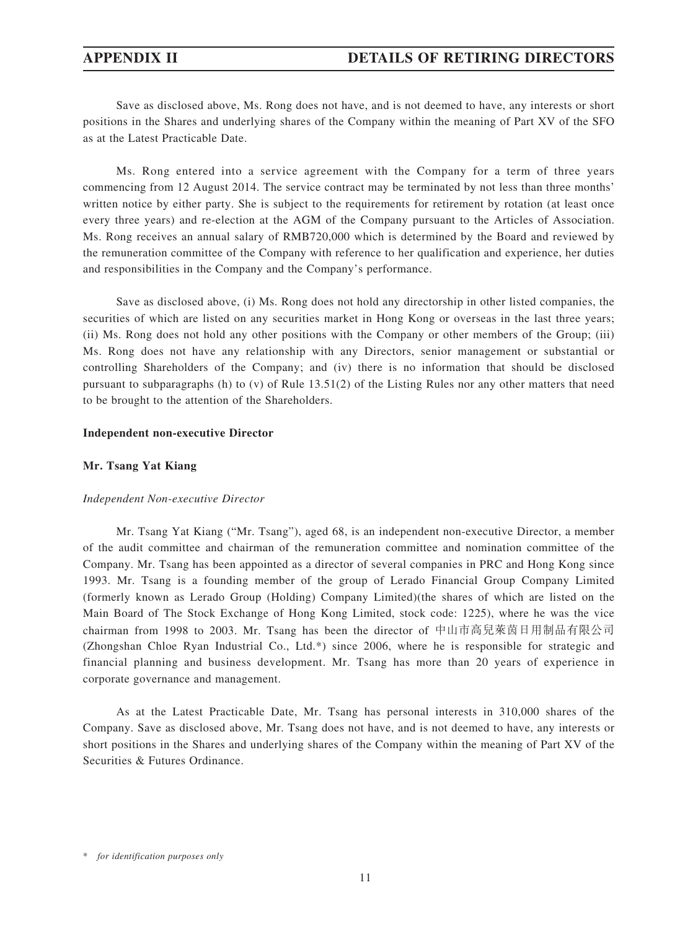Save as disclosed above, Ms. Rong does not have, and is not deemed to have, any interests or short positions in the Shares and underlying shares of the Company within the meaning of Part XV of the SFO as at the Latest Practicable Date.

Ms. Rong entered into a service agreement with the Company for a term of three years commencing from 12 August 2014. The service contract may be terminated by not less than three months' written notice by either party. She is subject to the requirements for retirement by rotation (at least once every three years) and re-election at the AGM of the Company pursuant to the Articles of Association. Ms. Rong receives an annual salary of RMB720,000 which is determined by the Board and reviewed by the remuneration committee of the Company with reference to her qualification and experience, her duties and responsibilities in the Company and the Company's performance.

Save as disclosed above, (i) Ms. Rong does not hold any directorship in other listed companies, the securities of which are listed on any securities market in Hong Kong or overseas in the last three years; (ii) Ms. Rong does not hold any other positions with the Company or other members of the Group; (iii) Ms. Rong does not have any relationship with any Directors, senior management or substantial or controlling Shareholders of the Company; and (iv) there is no information that should be disclosed pursuant to subparagraphs (h) to (v) of Rule  $13.51(2)$  of the Listing Rules nor any other matters that need to be brought to the attention of the Shareholders.

#### **Independent non-executive Director**

#### **Mr. Tsang Yat Kiang**

#### *Independent Non-executive Director*

Mr. Tsang Yat Kiang ("Mr. Tsang"), aged 68, is an independent non-executive Director, a member of the audit committee and chairman of the remuneration committee and nomination committee of the Company. Mr. Tsang has been appointed as a director of several companies in PRC and Hong Kong since 1993. Mr. Tsang is a founding member of the group of Lerado Financial Group Company Limited (formerly known as Lerado Group (Holding) Company Limited)(the shares of which are listed on the Main Board of The Stock Exchange of Hong Kong Limited, stock code: 1225), where he was the vice chairman from 1998 to 2003. Mr. Tsang has been the director of 中山市高兒萊茵日用制品有限公司 (Zhongshan Chloe Ryan Industrial Co., Ltd.\*) since 2006, where he is responsible for strategic and financial planning and business development. Mr. Tsang has more than 20 years of experience in corporate governance and management.

As at the Latest Practicable Date, Mr. Tsang has personal interests in 310,000 shares of the Company. Save as disclosed above, Mr. Tsang does not have, and is not deemed to have, any interests or short positions in the Shares and underlying shares of the Company within the meaning of Part XV of the Securities & Futures Ordinance.

<sup>\*</sup> *for identification purposes only*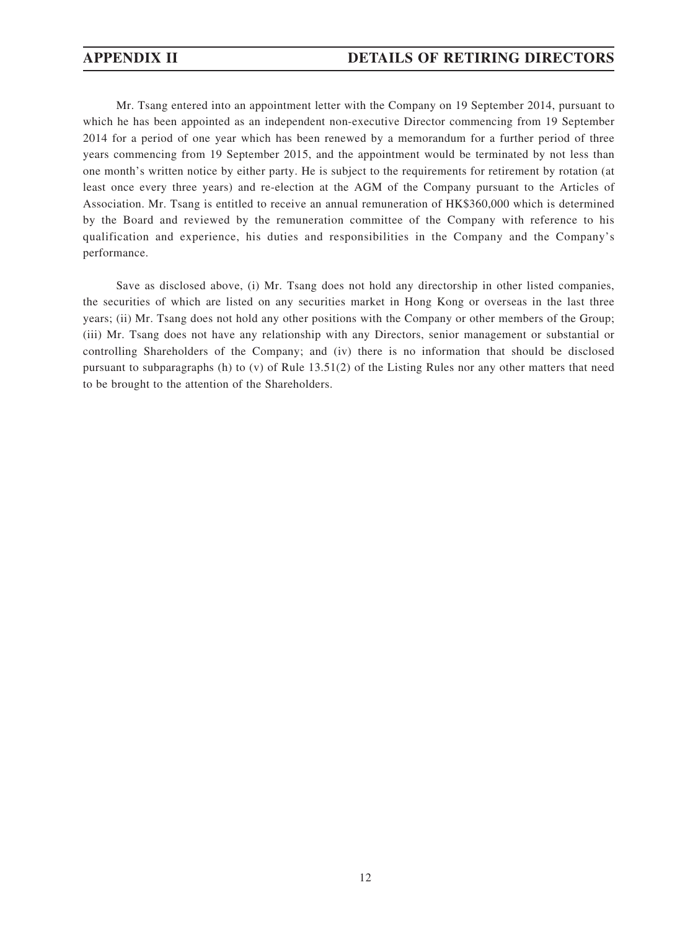## **APPENDIX II DETAILS OF RETIRING DIRECTORS**

Mr. Tsang entered into an appointment letter with the Company on 19 September 2014, pursuant to which he has been appointed as an independent non-executive Director commencing from 19 September 2014 for a period of one year which has been renewed by a memorandum for a further period of three years commencing from 19 September 2015, and the appointment would be terminated by not less than one month's written notice by either party. He is subject to the requirements for retirement by rotation (at least once every three years) and re-election at the AGM of the Company pursuant to the Articles of Association. Mr. Tsang is entitled to receive an annual remuneration of HK\$360,000 which is determined by the Board and reviewed by the remuneration committee of the Company with reference to his qualification and experience, his duties and responsibilities in the Company and the Company's performance.

Save as disclosed above, (i) Mr. Tsang does not hold any directorship in other listed companies, the securities of which are listed on any securities market in Hong Kong or overseas in the last three years; (ii) Mr. Tsang does not hold any other positions with the Company or other members of the Group; (iii) Mr. Tsang does not have any relationship with any Directors, senior management or substantial or controlling Shareholders of the Company; and (iv) there is no information that should be disclosed pursuant to subparagraphs (h) to (v) of Rule 13.51(2) of the Listing Rules nor any other matters that need to be brought to the attention of the Shareholders.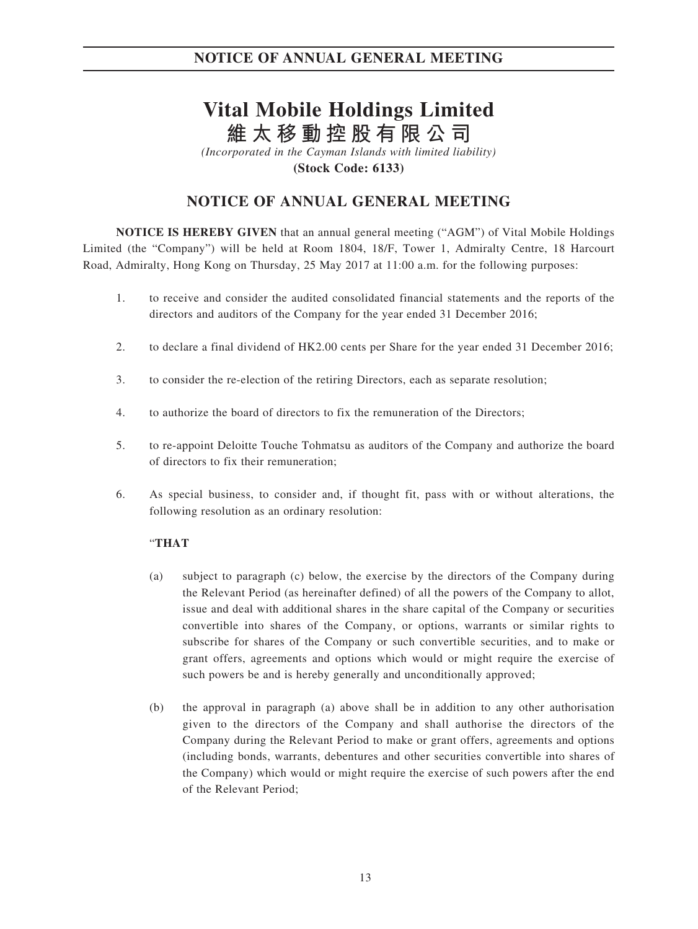# **Vital Mobile Holdings Limited 維太移動控股有限公司**

*(Incorporated in the Cayman Islands with limited liability)*

**(Stock Code: 6133)**

## **NOTICE OF ANNUAL GENERAL MEETING**

**NOTICE IS HEREBY GIVEN** that an annual general meeting ("AGM") of Vital Mobile Holdings Limited (the "Company") will be held at Room 1804, 18/F, Tower 1, Admiralty Centre, 18 Harcourt Road, Admiralty, Hong Kong on Thursday, 25 May 2017 at 11:00 a.m. for the following purposes:

- 1. to receive and consider the audited consolidated financial statements and the reports of the directors and auditors of the Company for the year ended 31 December 2016;
- 2. to declare a final dividend of HK2.00 cents per Share for the year ended 31 December 2016;
- 3. to consider the re-election of the retiring Directors, each as separate resolution;
- 4. to authorize the board of directors to fix the remuneration of the Directors;
- 5. to re-appoint Deloitte Touche Tohmatsu as auditors of the Company and authorize the board of directors to fix their remuneration;
- 6. As special business, to consider and, if thought fit, pass with or without alterations, the following resolution as an ordinary resolution:

## "**THAT**

- (a) subject to paragraph (c) below, the exercise by the directors of the Company during the Relevant Period (as hereinafter defined) of all the powers of the Company to allot, issue and deal with additional shares in the share capital of the Company or securities convertible into shares of the Company, or options, warrants or similar rights to subscribe for shares of the Company or such convertible securities, and to make or grant offers, agreements and options which would or might require the exercise of such powers be and is hereby generally and unconditionally approved;
- (b) the approval in paragraph (a) above shall be in addition to any other authorisation given to the directors of the Company and shall authorise the directors of the Company during the Relevant Period to make or grant offers, agreements and options (including bonds, warrants, debentures and other securities convertible into shares of the Company) which would or might require the exercise of such powers after the end of the Relevant Period;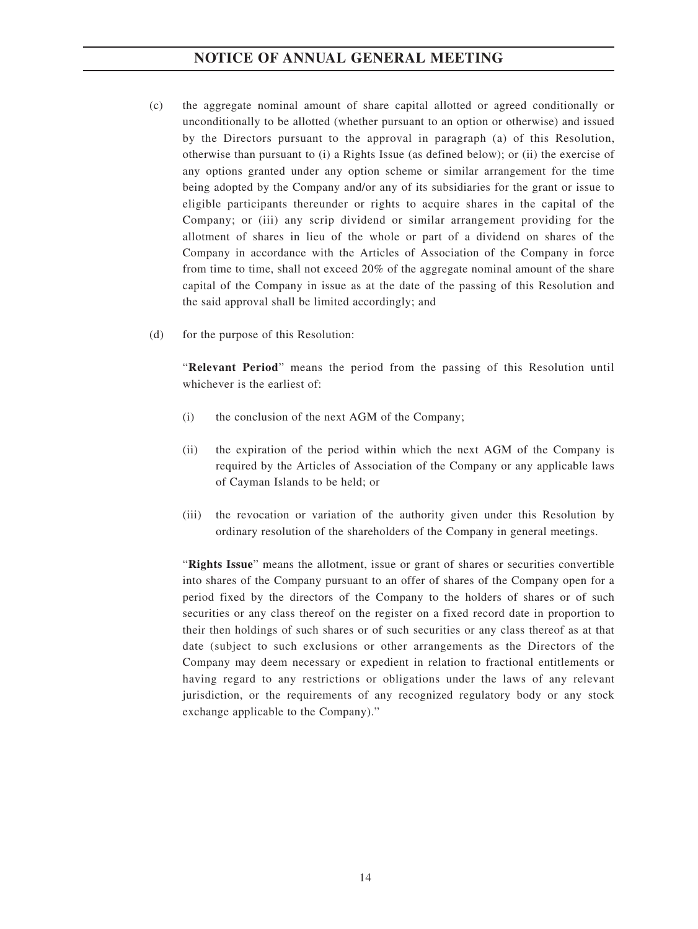- (c) the aggregate nominal amount of share capital allotted or agreed conditionally or unconditionally to be allotted (whether pursuant to an option or otherwise) and issued by the Directors pursuant to the approval in paragraph (a) of this Resolution, otherwise than pursuant to (i) a Rights Issue (as defined below); or (ii) the exercise of any options granted under any option scheme or similar arrangement for the time being adopted by the Company and/or any of its subsidiaries for the grant or issue to eligible participants thereunder or rights to acquire shares in the capital of the Company; or (iii) any scrip dividend or similar arrangement providing for the allotment of shares in lieu of the whole or part of a dividend on shares of the Company in accordance with the Articles of Association of the Company in force from time to time, shall not exceed 20% of the aggregate nominal amount of the share capital of the Company in issue as at the date of the passing of this Resolution and the said approval shall be limited accordingly; and
- (d) for the purpose of this Resolution:

"**Relevant Period**" means the period from the passing of this Resolution until whichever is the earliest of:

- (i) the conclusion of the next AGM of the Company;
- (ii) the expiration of the period within which the next AGM of the Company is required by the Articles of Association of the Company or any applicable laws of Cayman Islands to be held; or
- (iii) the revocation or variation of the authority given under this Resolution by ordinary resolution of the shareholders of the Company in general meetings.

"**Rights Issue**" means the allotment, issue or grant of shares or securities convertible into shares of the Company pursuant to an offer of shares of the Company open for a period fixed by the directors of the Company to the holders of shares or of such securities or any class thereof on the register on a fixed record date in proportion to their then holdings of such shares or of such securities or any class thereof as at that date (subject to such exclusions or other arrangements as the Directors of the Company may deem necessary or expedient in relation to fractional entitlements or having regard to any restrictions or obligations under the laws of any relevant jurisdiction, or the requirements of any recognized regulatory body or any stock exchange applicable to the Company)."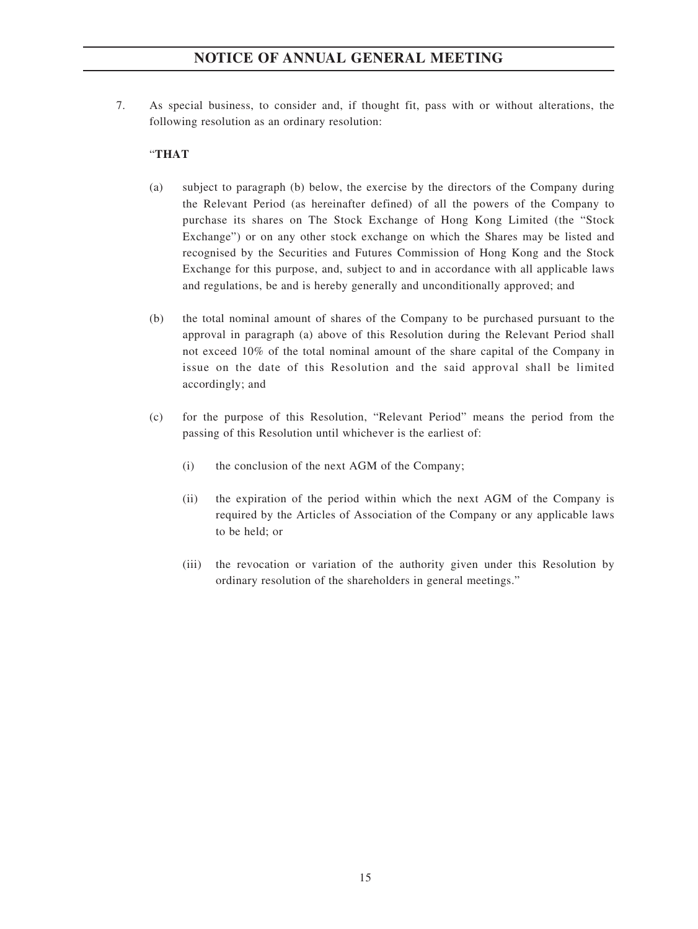7. As special business, to consider and, if thought fit, pass with or without alterations, the following resolution as an ordinary resolution:

## "**THAT**

- (a) subject to paragraph (b) below, the exercise by the directors of the Company during the Relevant Period (as hereinafter defined) of all the powers of the Company to purchase its shares on The Stock Exchange of Hong Kong Limited (the "Stock Exchange") or on any other stock exchange on which the Shares may be listed and recognised by the Securities and Futures Commission of Hong Kong and the Stock Exchange for this purpose, and, subject to and in accordance with all applicable laws and regulations, be and is hereby generally and unconditionally approved; and
- (b) the total nominal amount of shares of the Company to be purchased pursuant to the approval in paragraph (a) above of this Resolution during the Relevant Period shall not exceed 10% of the total nominal amount of the share capital of the Company in issue on the date of this Resolution and the said approval shall be limited accordingly; and
- (c) for the purpose of this Resolution, "Relevant Period" means the period from the passing of this Resolution until whichever is the earliest of:
	- (i) the conclusion of the next AGM of the Company;
	- (ii) the expiration of the period within which the next AGM of the Company is required by the Articles of Association of the Company or any applicable laws to be held; or
	- (iii) the revocation or variation of the authority given under this Resolution by ordinary resolution of the shareholders in general meetings."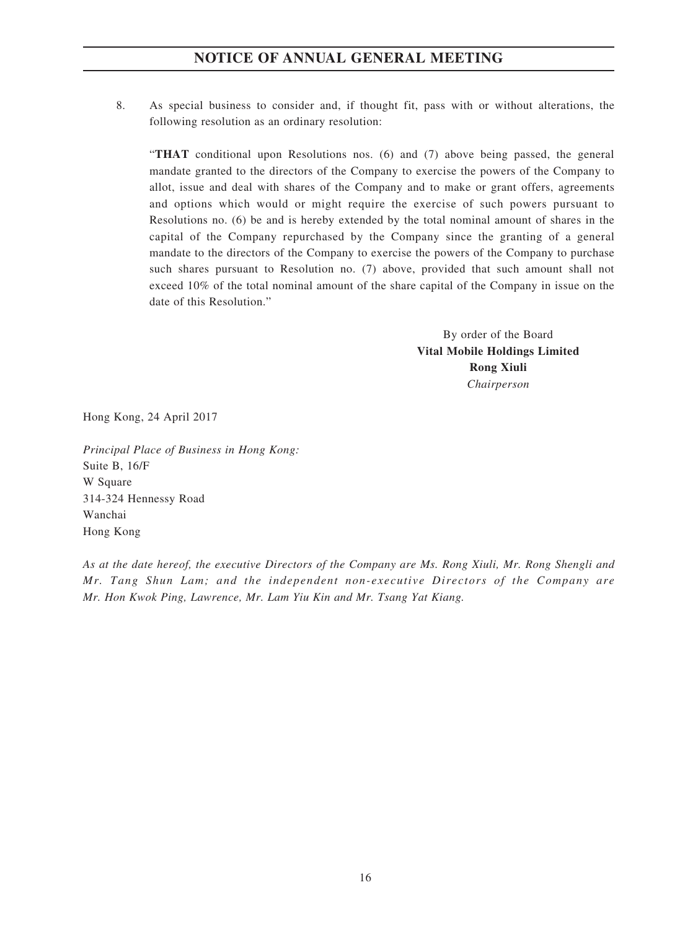8. As special business to consider and, if thought fit, pass with or without alterations, the following resolution as an ordinary resolution:

"**THAT** conditional upon Resolutions nos. (6) and (7) above being passed, the general mandate granted to the directors of the Company to exercise the powers of the Company to allot, issue and deal with shares of the Company and to make or grant offers, agreements and options which would or might require the exercise of such powers pursuant to Resolutions no. (6) be and is hereby extended by the total nominal amount of shares in the capital of the Company repurchased by the Company since the granting of a general mandate to the directors of the Company to exercise the powers of the Company to purchase such shares pursuant to Resolution no. (7) above, provided that such amount shall not exceed 10% of the total nominal amount of the share capital of the Company in issue on the date of this Resolution."

> By order of the Board **Vital Mobile Holdings Limited Rong Xiuli** *Chairperson*

Hong Kong, 24 April 2017

*Principal Place of Business in Hong Kong:* Suite B, 16/F W Square 314-324 Hennessy Road Wanchai Hong Kong

*As at the date hereof, the executive Directors of the Company are Ms. Rong Xiuli, Mr. Rong Shengli and Mr. Tang Shun Lam; and the independent non-executive Directors of the Company are Mr. Hon Kwok Ping, Lawrence, Mr. Lam Yiu Kin and Mr. Tsang Yat Kiang.*